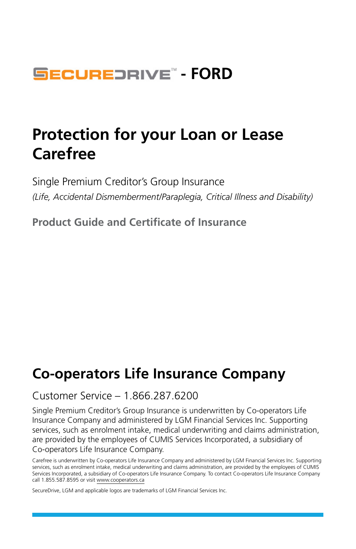## **SECUREDRIVE<sup>®</sup> - FORD**

## **Protection for your Loan or Lease Carefree**

Single Premium Creditor's Group Insurance *(Life, Accidental Dismemberment/Paraplegia, Critical Illness and Disability)*

**Product Guide and Certificate of Insurance**

## **Co-operators Life Insurance Company**

#### Customer Service – 1.866.287.6200

Single Premium Creditor's Group Insurance is underwritten by Co-operators Life Insurance Company and administered by LGM Financial Services Inc. Supporting services, such as enrolment intake, medical underwriting and claims administration, are provided by the employees of CUMIS Services Incorporated, a subsidiary of Co-operators Life Insurance Company.

SecureDrive, LGM and applicable logos are trademarks of LGM Financial Services Inc.

Carefree is underwritten by Co-operators Life Insurance Company and administered by LGM Financial Services Inc. Supporting services, such as enrolment intake, medical underwriting and claims administration, are provided by the employees of CUMIS Services Incorporated, a subsidiary of Co-operators Life Insurance Company. To contact Co-operators Life Insurance Company call 1.855.587.8595 or visit [www.cooperators.ca](http://www.cooperators.ca)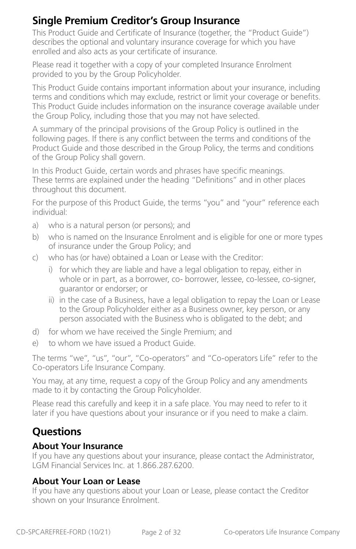## **Single Premium Creditor's Group Insurance**

This Product Guide and Certificate of Insurance (together, the "Product Guide") describes the optional and voluntary insurance coverage for which you have enrolled and also acts as your certificate of insurance.

Please read it together with a copy of your completed Insurance Enrolment provided to you by the Group Policyholder.

This Product Guide contains important information about your insurance, including terms and conditions which may exclude, restrict or limit your coverage or benefits. This Product Guide includes information on the insurance coverage available under the Group Policy, including those that you may not have selected.

A summary of the principal provisions of the Group Policy is outlined in the following pages. If there is any conflict between the terms and conditions of the Product Guide and those described in the Group Policy, the terms and conditions of the Group Policy shall govern.

In this Product Guide, certain words and phrases have specific meanings. These terms are explained under the heading "Definitions" and in other places throughout this document.

For the purpose of this Product Guide, the terms "you" and "your" reference each individual:

- a) who is a natural person (or persons); and
- b) who is named on the Insurance Enrolment and is eligible for one or more types of insurance under the Group Policy; and
- c) who has (or have) obtained a Loan or Lease with the Creditor:
	- i) for which they are liable and have a legal obligation to repay, either in whole or in part, as a borrower, co- borrower, lessee, co-lessee, co-signer, guarantor or endorser; or
	- ii) in the case of a Business, have a legal obligation to repay the Loan or Lease to the Group Policyholder either as a Business owner, key person, or any person associated with the Business who is obligated to the debt; and
- d) for whom we have received the Single Premium; and
- e) to whom we have issued a Product Guide.

The terms "we", "us", "our", "Co-operators" and "Co-operators Life" refer to the Co-operators Life Insurance Company.

You may, at any time, request a copy of the Group Policy and any amendments made to it by contacting the Group Policyholder.

Please read this carefully and keep it in a safe place. You may need to refer to it later if you have questions about your insurance or if you need to make a claim.

## **Questions**

#### **About Your Insurance**

If you have any questions about your insurance, please contact the Administrator, LGM Financial Services Inc. at 1.866.287.6200.

#### **About Your Loan or Lease**

If you have any questions about your Loan or Lease, please contact the Creditor shown on your Insurance Enrolment.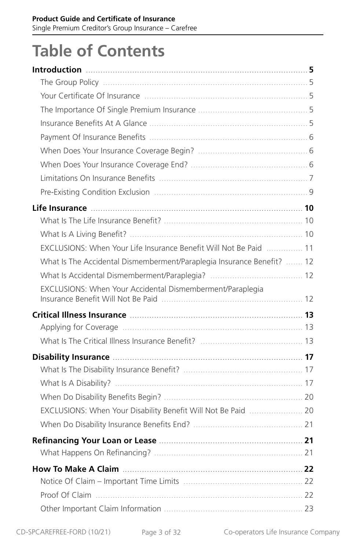# **Table of Contents**

| EXCLUSIONS: When Your Life Insurance Benefit Will Not Be Paid  11                                                     |  |
|-----------------------------------------------------------------------------------------------------------------------|--|
| What Is The Accidental Dismemberment/Paraplegia Insurance Benefit?  12                                                |  |
|                                                                                                                       |  |
| EXCLUSIONS: When Your Accidental Dismemberment/Paraplegia                                                             |  |
|                                                                                                                       |  |
|                                                                                                                       |  |
|                                                                                                                       |  |
| Disability Insurance <b>Manual According to the Contract Office</b> of the Contract of the Contract of the Contract o |  |
|                                                                                                                       |  |
|                                                                                                                       |  |
|                                                                                                                       |  |
| EXCLUSIONS: When Your Disability Benefit Will Not Be Paid  20                                                         |  |
|                                                                                                                       |  |
|                                                                                                                       |  |
|                                                                                                                       |  |
|                                                                                                                       |  |
|                                                                                                                       |  |
|                                                                                                                       |  |
|                                                                                                                       |  |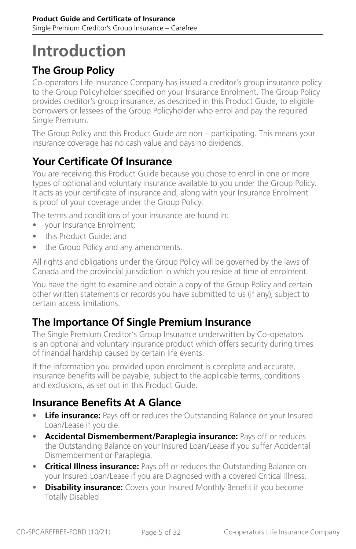# <span id="page-4-0"></span>**Introduction**

## **The Group Policy**

Co-operators Life Insurance Company has issued a creditor's group insurance policy to the Group Policyholder specified on your Insurance Enrolment. The Group Policy provides creditor's group insurance, as described in this Product Guide, to eligible borrowers or lessees of the Group Policyholder who enrol and pay the required Single Premium.

The Group Policy and this Product Guide are non – participating. This means your insurance coverage has no cash value and pays no dividends.

## **Your Certificate Of Insurance**

You are receiving this Product Guide because you chose to enrol in one or more types of optional and voluntary insurance available to you under the Group Policy. It acts as your certificate of insurance and, along with your Insurance Enrolment is proof of your coverage under the Group Policy.

The terms and conditions of your insurance are found in:

- your Insurance Enrolment;
- this Product Guide; and
- the Group Policy and any amendments.

All rights and obligations under the Group Policy will be governed by the laws of Canada and the provincial jurisdiction in which you reside at time of enrolment.

You have the right to examine and obtain a copy of the Group Policy and certain other written statements or records you have submitted to us (if any), subject to certain access limitations.

## **The Importance Of Single Premium Insurance**

The Single Premium Creditor's Group Insurance underwritten by Co-operators is an optional and voluntary insurance product which offers security during times of financial hardship caused by certain life events.

If the information you provided upon enrolment is complete and accurate, insurance benefits will be payable, subject to the applicable terms, conditions and exclusions, as set out in this Product Guide.

## **Insurance Benefits At A Glance**

- **Life insurance:** Pays off or reduces the Outstanding Balance on your Insured Loan/Lease if you die.
- **Accidental Dismemberment/Paraplegia insurance:** Pays off or reduces the Outstanding Balance on your Insured Loan/Lease if you suffer Accidental Dismemberment or Paraplegia.
- **Critical Illness insurance:** Pays off or reduces the Outstanding Balance on your Insured Loan/Lease if you are Diagnosed with a covered Critical Illness.
- **Disability insurance:** Covers your Insured Monthly Benefit if you become Totally Disabled.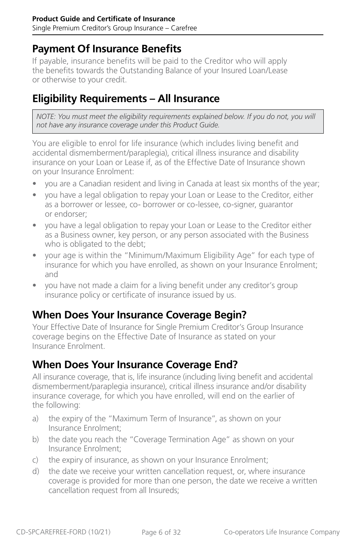#### <span id="page-5-0"></span>**Payment Of Insurance Benefits**

If payable, insurance benefits will be paid to the Creditor who will apply the benefits towards the Outstanding Balance of your Insured Loan/Lease or otherwise to your credit.

### **Eligibility Requirements – All Insurance**

*NOTE: You must meet the eligibility requirements explained below. If you do not, you will not have any insurance coverage under this Product Guide.*

You are eligible to enrol for life insurance (which includes living benefit and accidental dismemberment/paraplegia), critical illness insurance and disability insurance on your Loan or Lease if, as of the Effective Date of Insurance shown on your Insurance Enrolment:

- you are a Canadian resident and living in Canada at least six months of the year;
- you have a legal obligation to repay your Loan or Lease to the Creditor, either as a borrower or lessee, co- borrower or co-lessee, co-signer, guarantor or endorser;
- you have a legal obligation to repay your Loan or Lease to the Creditor either as a Business owner, key person, or any person associated with the Business who is obligated to the debt;
- your age is within the "Minimum/Maximum Eligibility Age" for each type of insurance for which you have enrolled, as shown on your Insurance Enrolment; and
- you have not made a claim for a living benefit under any creditor's group insurance policy or certificate of insurance issued by us.

### **When Does Your Insurance Coverage Begin?**

Your Effective Date of Insurance for Single Premium Creditor's Group Insurance coverage begins on the Effective Date of Insurance as stated on your Insurance Enrolment.

### **When Does Your Insurance Coverage End?**

All insurance coverage, that is, life insurance (including living benefit and accidental dismemberment/paraplegia insurance), critical illness insurance and/or disability insurance coverage, for which you have enrolled, will end on the earlier of the following:

- a) the expiry of the "Maximum Term of Insurance", as shown on your Insurance Enrolment;
- b) the date you reach the "Coverage Termination Age" as shown on your Insurance Enrolment;
- c) the expiry of insurance, as shown on your Insurance Enrolment;
- d) the date we receive your written cancellation request, or, where insurance coverage is provided for more than one person, the date we receive a written cancellation request from all Insureds;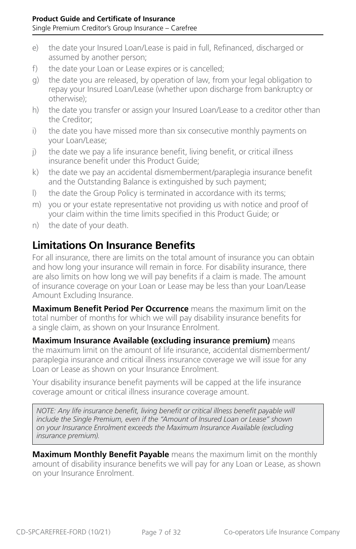- <span id="page-6-0"></span>e) the date your Insured Loan/Lease is paid in full, Refinanced, discharged or assumed by another person;
- f) the date your Loan or Lease expires or is cancelled;
- g) the date you are released, by operation of law, from your legal obligation to repay your Insured Loan/Lease (whether upon discharge from bankruptcy or otherwise);
- h) the date you transfer or assign your Insured Loan/Lease to a creditor other than the Creditor;
- i) the date you have missed more than six consecutive monthly payments on your Loan/Lease;
- j) the date we pay a life insurance benefit, living benefit, or critical illness insurance benefit under this Product Guide;
- k) the date we pay an accidental dismemberment/paraplegia insurance benefit and the Outstanding Balance is extinguished by such payment;
- l) the date the Group Policy is terminated in accordance with its terms;
- m) you or your estate representative not providing us with notice and proof of your claim within the time limits specified in this Product Guide; or
- n) the date of your death.

### **Limitations On Insurance Benefits**

For all insurance, there are limits on the total amount of insurance you can obtain and how long your insurance will remain in force. For disability insurance, there are also limits on how long we will pay benefits if a claim is made. The amount of insurance coverage on your Loan or Lease may be less than your Loan/Lease Amount Excluding Insurance.

**Maximum Benefit Period Per Occurrence** means the maximum limit on the total number of months for which we will pay disability insurance benefits for a single claim, as shown on your Insurance Enrolment.

**Maximum Insurance Available (excluding insurance premium)** means the maximum limit on the amount of life insurance, accidental dismemberment/ paraplegia insurance and critical illness insurance coverage we will issue for any Loan or Lease as shown on your Insurance Enrolment.

Your disability insurance benefit payments will be capped at the life insurance coverage amount or critical illness insurance coverage amount.

*NOTE: Any life insurance benefit, living benefit or critical illness benefit payable will include the Single Premium, even if the "Amount of Insured Loan or Lease" shown on your Insurance Enrolment exceeds the Maximum Insurance Available (excluding insurance premium).*

**Maximum Monthly Benefit Payable** means the maximum limit on the monthly amount of disability insurance benefits we will pay for any Loan or Lease, as shown on your Insurance Enrolment.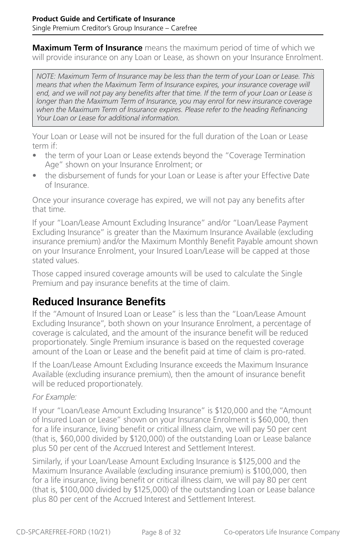**Maximum Term of Insurance** means the maximum period of time of which we will provide insurance on any Loan or Lease, as shown on your Insurance Enrolment.

*NOTE: Maximum Term of Insurance may be less than the term of your Loan or Lease. This means that when the Maximum Term of Insurance expires, your insurance coverage will*  end, and we will not pay any benefits after that time. If the term of your Loan or Lease is *longer than the Maximum Term of Insurance, you may enrol for new insurance coverage*  when the Maximum Term of Insurance expires. Please refer to the heading Refinancing *Your Loan or Lease for additional information.*

Your Loan or Lease will not be insured for the full duration of the Loan or Lease term if:

- the term of your Loan or Lease extends beyond the "Coverage Termination Age" shown on your Insurance Enrolment; or
- the disbursement of funds for your Loan or Lease is after your Effective Date of Insurance.

Once your insurance coverage has expired, we will not pay any benefits after that time.

If your "Loan/Lease Amount Excluding Insurance" and/or "Loan/Lease Payment Excluding Insurance" is greater than the Maximum Insurance Available (excluding insurance premium) and/or the Maximum Monthly Benefit Payable amount shown on your Insurance Enrolment, your Insured Loan/Lease will be capped at those stated values.

Those capped insured coverage amounts will be used to calculate the Single Premium and pay insurance benefits at the time of claim.

### **Reduced Insurance Benefits**

If the "Amount of Insured Loan or Lease" is less than the "Loan/Lease Amount Excluding Insurance", both shown on your Insurance Enrolment, a percentage of coverage is calculated, and the amount of the insurance benefit will be reduced proportionately. Single Premium insurance is based on the requested coverage amount of the Loan or Lease and the benefit paid at time of claim is pro-rated.

If the Loan/Lease Amount Excluding Insurance exceeds the Maximum Insurance Available (excluding insurance premium), then the amount of insurance benefit will be reduced proportionately.

#### *For Example:*

If your "Loan/Lease Amount Excluding Insurance" is \$120,000 and the "Amount of Insured Loan or Lease" shown on your Insurance Enrolment is \$60,000, then for a life insurance, living benefit or critical illness claim, we will pay 50 per cent (that is, \$60,000 divided by \$120,000) of the outstanding Loan or Lease balance plus 50 per cent of the Accrued Interest and Settlement Interest.

Similarly, if your Loan/Lease Amount Excluding Insurance is \$125,000 and the Maximum Insurance Available (excluding insurance premium) is \$100,000, then for a life insurance, living benefit or critical illness claim, we will pay 80 per cent (that is, \$100,000 divided by \$125,000) of the outstanding Loan or Lease balance plus 80 per cent of the Accrued Interest and Settlement Interest.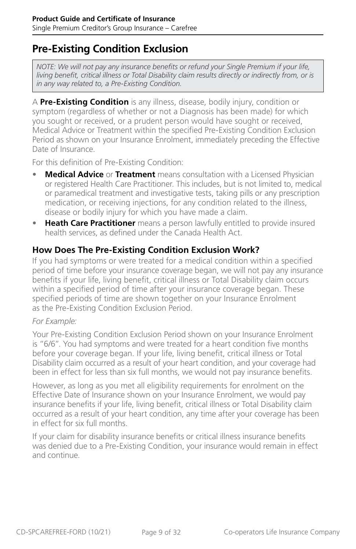#### <span id="page-8-0"></span>**Pre-Existing Condition Exclusion**

*NOTE: We will not pay any insurance benefits or refund your Single Premium if your life, living benefit, critical illness or Total Disability claim results directly or indirectly from, or is in any way related to, a Pre-Existing Condition.*

A **Pre-Existing Condition** is any illness, disease, bodily injury, condition or symptom (regardless of whether or not a Diagnosis has been made) for which you sought or received, or a prudent person would have sought or received, Medical Advice or Treatment within the specified Pre-Existing Condition Exclusion Period as shown on your Insurance Enrolment, immediately preceding the Effective Date of Insurance.

For this definition of Pre-Existing Condition:

- **Medical Advice** or **Treatment** means consultation with a Licensed Physician or registered Health Care Practitioner. This includes, but is not limited to, medical or paramedical treatment and investigative tests, taking pills or any prescription medication, or receiving injections, for any condition related to the illness, disease or bodily injury for which you have made a claim.
- **Heath Care Practitioner** means a person lawfully entitled to provide insured health services, as defined under the Canada Health Act.

#### **How Does The Pre-Existing Condition Exclusion Work?**

If you had symptoms or were treated for a medical condition within a specified period of time before your insurance coverage began, we will not pay any insurance benefits if your life, living benefit, critical illness or Total Disability claim occurs within a specified period of time after your insurance coverage began. These specified periods of time are shown together on your Insurance Enrolment as the Pre-Existing Condition Exclusion Period.

#### *For Example:*

Your Pre-Existing Condition Exclusion Period shown on your Insurance Enrolment is "6/6". You had symptoms and were treated for a heart condition five months before your coverage began. If your life, living benefit, critical illness or Total Disability claim occurred as a result of your heart condition, and your coverage had been in effect for less than six full months, we would not pay insurance benefits.

However, as long as you met all eligibility requirements for enrolment on the Effective Date of Insurance shown on your Insurance Enrolment, we would pay insurance benefits if your life, living benefit, critical illness or Total Disability claim occurred as a result of your heart condition, any time after your coverage has been in effect for six full months.

If your claim for disability insurance benefits or critical illness insurance benefits was denied due to a Pre-Existing Condition, your insurance would remain in effect and continue.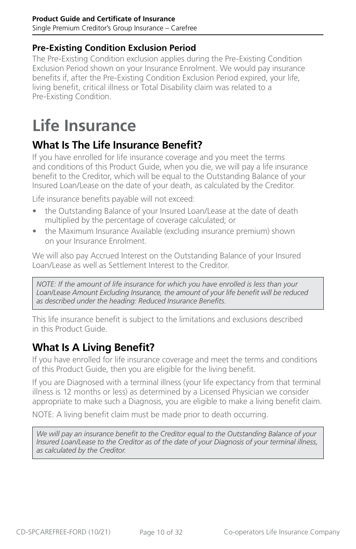#### <span id="page-9-0"></span>**Product Guide and Certificate of Insurance** Single Premium Creditor's Group Insurance – Carefree

**Pre-Existing Condition Exclusion Period**

The Pre-Existing Condition exclusion applies during the Pre-Existing Condition Exclusion Period shown on your Insurance Enrolment. We would pay insurance benefits if, after the Pre-Existing Condition Exclusion Period expired, your life, living benefit, critical illness or Total Disability claim was related to a Pre-Existing Condition.

# **Life Insurance**

## **What Is The Life Insurance Benefit?**

If you have enrolled for life insurance coverage and you meet the terms and conditions of this Product Guide, when you die, we will pay a life insurance benefit to the Creditor, which will be equal to the Outstanding Balance of your Insured Loan/Lease on the date of your death, as calculated by the Creditor.

Life insurance benefits payable will not exceed:

- the Outstanding Balance of your Insured Loan/Lease at the date of death multiplied by the percentage of coverage calculated; or
- the Maximum Insurance Available (excluding insurance premium) shown on your Insurance Enrolment.

We will also pay Accrued Interest on the Outstanding Balance of your Insured Loan/Lease as well as Settlement Interest to the Creditor.

*NOTE: If the amount of life insurance for which you have enrolled is less than your Loan/Lease Amount Excluding Insurance, the amount of your life benefit will be reduced as described under the heading: Reduced Insurance Benefits.*

This life insurance benefit is subject to the limitations and exclusions described in this Product Guide.

## **What Is A Living Benefit?**

If you have enrolled for life insurance coverage and meet the terms and conditions of this Product Guide, then you are eligible for the living benefit.

If you are Diagnosed with a terminal illness (your life expectancy from that terminal illness is 12 months or less) as determined by a Licensed Physician we consider appropriate to make such a Diagnosis, you are eligible to make a living benefit claim.

NOTE: A living benefit claim must be made prior to death occurring.

*We will pay an insurance benefit to the Creditor equal to the Outstanding Balance of your Insured Loan/Lease to the Creditor as of the date of your Diagnosis of your terminal illness, as calculated by the Creditor.*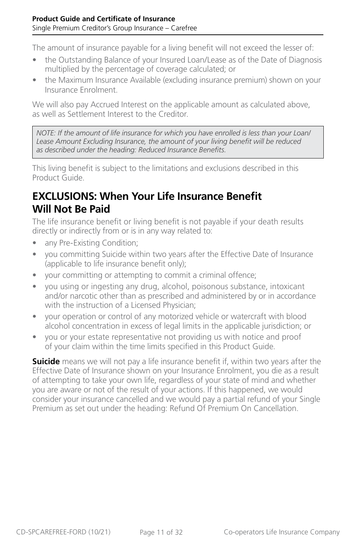<span id="page-10-0"></span>The amount of insurance payable for a living benefit will not exceed the lesser of:

- the Outstanding Balance of your Insured Loan/Lease as of the Date of Diagnosis multiplied by the percentage of coverage calculated; or
- the Maximum Insurance Available (excluding insurance premium) shown on your Insurance Enrolment.

We will also pay Accrued Interest on the applicable amount as calculated above, as well as Settlement Interest to the Creditor.

*NOTE: If the amount of life insurance for which you have enrolled is less than your Loan/ Lease Amount Excluding Insurance, the amount of your living benefit will be reduced as described under the heading: Reduced Insurance Benefits.*

This living benefit is subject to the limitations and exclusions described in this Product Guide.

## **EXCLUSIONS: When Your Life Insurance Benefit Will Not Be Paid**

The life insurance benefit or living benefit is not payable if your death results directly or indirectly from or is in any way related to:

- any Pre-Existing Condition;
- you committing Suicide within two years after the Effective Date of Insurance (applicable to life insurance benefit only);
- your committing or attempting to commit a criminal offence;
- you using or ingesting any drug, alcohol, poisonous substance, intoxicant and/or narcotic other than as prescribed and administered by or in accordance with the instruction of a Licensed Physician;
- your operation or control of any motorized vehicle or watercraft with blood alcohol concentration in excess of legal limits in the applicable jurisdiction; or
- you or your estate representative not providing us with notice and proof of your claim within the time limits specified in this Product Guide.

**Suicide** means we will not pay a life insurance benefit if, within two years after the Effective Date of Insurance shown on your Insurance Enrolment, you die as a result of attempting to take your own life, regardless of your state of mind and whether you are aware or not of the result of your actions. If this happened, we would consider your insurance cancelled and we would pay a partial refund of your Single Premium as set out under the heading: Refund Of Premium On Cancellation.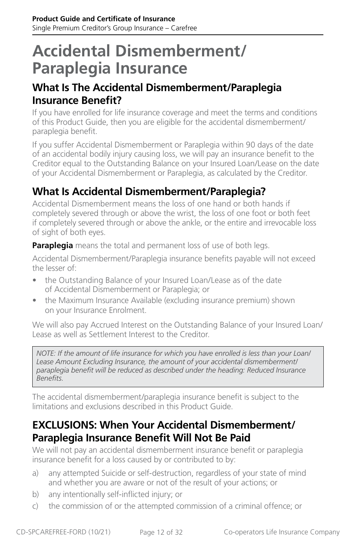## <span id="page-11-0"></span>**Accidental Dismemberment/ Paraplegia Insurance**

#### **What Is The Accidental Dismemberment/Paraplegia Insurance Benefit?**

If you have enrolled for life insurance coverage and meet the terms and conditions of this Product Guide, then you are eligible for the accidental dismemberment/ paraplegia benefit.

If you suffer Accidental Dismemberment or Paraplegia within 90 days of the date of an accidental bodily injury causing loss, we will pay an insurance benefit to the Creditor equal to the Outstanding Balance on your Insured Loan/Lease on the date of your Accidental Dismemberment or Paraplegia, as calculated by the Creditor.

## **What Is Accidental Dismemberment/Paraplegia?**

Accidental Dismemberment means the loss of one hand or both hands if completely severed through or above the wrist, the loss of one foot or both feet if completely severed through or above the ankle, or the entire and irrevocable loss of sight of both eyes.

**Paraplegia** means the total and permanent loss of use of both legs.

Accidental Dismemberment/Paraplegia insurance benefits payable will not exceed the lesser of:

- the Outstanding Balance of your Insured Loan/Lease as of the date of Accidental Dismemberment or Paraplegia; or
- the Maximum Insurance Available (excluding insurance premium) shown on your Insurance Enrolment.

We will also pay Accrued Interest on the Outstanding Balance of your Insured Loan/ Lease as well as Settlement Interest to the Creditor.

*NOTE: If the amount of life insurance for which you have enrolled is less than your Loan/ Lease Amount Excluding Insurance, the amount of your accidental dismemberment/ paraplegia benefit will be reduced as described under the heading: Reduced Insurance Benefits.*

The accidental dismemberment/paraplegia insurance benefit is subject to the limitations and exclusions described in this Product Guide.

### **EXCLUSIONS: When Your Accidental Dismemberment/ Paraplegia Insurance Benefit Will Not Be Paid**

We will not pay an accidental dismemberment insurance benefit or paraplegia insurance benefit for a loss caused by or contributed to by:

- a) any attempted Suicide or self-destruction, regardless of your state of mind and whether you are aware or not of the result of your actions; or
- b) any intentionally self-inflicted injury; or
- c) the commission of or the attempted commission of a criminal offence; or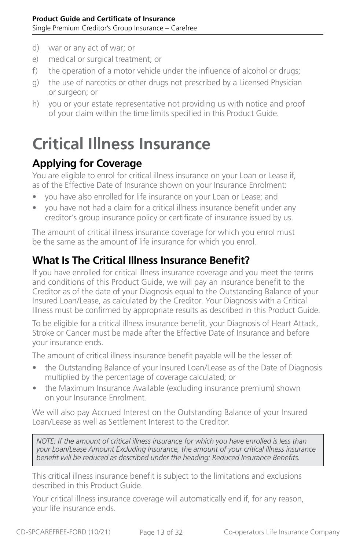- <span id="page-12-0"></span>d) war or any act of war; or
- e) medical or surgical treatment; or
- f) the operation of a motor vehicle under the influence of alcohol or drugs;
- g) the use of narcotics or other drugs not prescribed by a Licensed Physician or surgeon; or
- h) you or your estate representative not providing us with notice and proof of your claim within the time limits specified in this Product Guide.

## **Critical Illness Insurance**

### **Applying for Coverage**

You are eligible to enrol for critical illness insurance on your Loan or Lease if, as of the Effective Date of Insurance shown on your Insurance Enrolment:

- you have also enrolled for life insurance on your Loan or Lease; and
- you have not had a claim for a critical illness insurance benefit under any creditor's group insurance policy or certificate of insurance issued by us.

The amount of critical illness insurance coverage for which you enrol must be the same as the amount of life insurance for which you enrol.

## **What Is The Critical Illness Insurance Benefit?**

If you have enrolled for critical illness insurance coverage and you meet the terms and conditions of this Product Guide, we will pay an insurance benefit to the Creditor as of the date of your Diagnosis equal to the Outstanding Balance of your Insured Loan/Lease, as calculated by the Creditor. Your Diagnosis with a Critical Illness must be confirmed by appropriate results as described in this Product Guide.

To be eligible for a critical illness insurance benefit, your Diagnosis of Heart Attack, Stroke or Cancer must be made after the Effective Date of Insurance and before your insurance ends.

The amount of critical illness insurance benefit payable will be the lesser of:

- the Outstanding Balance of your Insured Loan/Lease as of the Date of Diagnosis multiplied by the percentage of coverage calculated; or
- the Maximum Insurance Available (excluding insurance premium) shown on your Insurance Enrolment.

We will also pay Accrued Interest on the Outstanding Balance of your Insured Loan/Lease as well as Settlement Interest to the Creditor.

*NOTE: If the amount of critical illness insurance for which you have enrolled is less than your Loan/Lease Amount Excluding Insurance, the amount of your critical illness insurance benefit will be reduced as described under the heading: Reduced Insurance Benefits.*

This critical illness insurance benefit is subject to the limitations and exclusions described in this Product Guide.

Your critical illness insurance coverage will automatically end if, for any reason, your life insurance ends.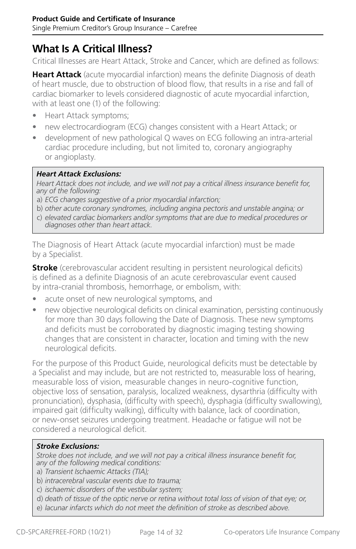## **What Is A Critical Illness?**

Critical Illnesses are Heart Attack, Stroke and Cancer, which are defined as follows:

**Heart Attack** (acute myocardial infarction) means the definite Diagnosis of death of heart muscle, due to obstruction of blood flow, that results in a rise and fall of cardiac biomarker to levels considered diagnostic of acute myocardial infarction, with at least one (1) of the following:

- Heart Attack symptoms;
- new electrocardiogram (ECG) changes consistent with a Heart Attack; or
- development of new pathological Q waves on ECG following an intra-arterial cardiac procedure including, but not limited to, coronary angiography or angioplasty.

#### *Heart Attack Exclusions:*

*Heart Attack does not include, and we will not pay a critical illness insurance benefit for, any of the following:*

- a) *ECG changes suggestive of a prior myocardial infarction;*
- b) *other acute coronary syndromes, including angina pectoris and unstable angina; or*
- c) *elevated cardiac biomarkers and/or symptoms that are due to medical procedures or diagnoses other than heart attack.*

The Diagnosis of Heart Attack (acute myocardial infarction) must be made by a Specialist.

**Stroke** (cerebrovascular accident resulting in persistent neurological deficits) is defined as a definite Diagnosis of an acute cerebrovascular event caused by intra-cranial thrombosis, hemorrhage, or embolism, with:

- acute onset of new neurological symptoms, and
- new objective neurological deficits on clinical examination, persisting continuously for more than 30 days following the Date of Diagnosis. These new symptoms and deficits must be corroborated by diagnostic imaging testing showing changes that are consistent in character, location and timing with the new neurological deficits.

For the purpose of this Product Guide, neurological deficits must be detectable by a Specialist and may include, but are not restricted to, measurable loss of hearing, measurable loss of vision, measurable changes in neuro-cognitive function, objective loss of sensation, paralysis, localized weakness, dysarthria (difficulty with pronunciation), dysphasia, (difficulty with speech), dysphagia (difficulty swallowing), impaired gait (difficulty walking), difficulty with balance, lack of coordination, or new-onset seizures undergoing treatment. Headache or fatigue will not be considered a neurological deficit.

#### *Stroke Exclusions:*

*Stroke does not include, and we will not pay a critical illness insurance benefit for, any of the following medical conditions:*

- a) *Transient Ischaemic Attacks (TIA);*
- b) *intracerebral vascular events due to trauma;*
- c) *ischaemic disorders of the vestibular system;*
- d) *death of tissue of the optic nerve or retina without total loss of vision of that eye; or,*
- e) *lacunar infarcts which do not meet the definition of stroke as described above.*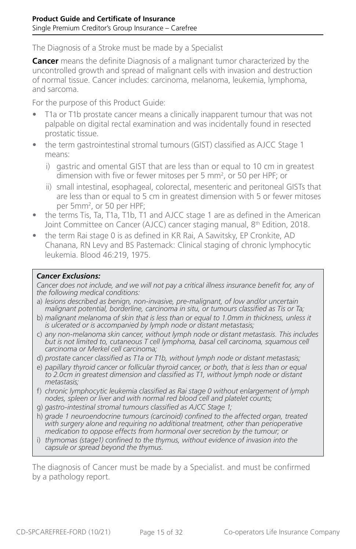The Diagnosis of a Stroke must be made by a Specialist

**Cancer** means the definite Diagnosis of a malignant tumor characterized by the uncontrolled growth and spread of malignant cells with invasion and destruction of normal tissue. Cancer includes: carcinoma, melanoma, leukemia, lymphoma, and sarcoma.

For the purpose of this Product Guide:

- T1a or T1b prostate cancer means a clinically inapparent tumour that was not palpable on digital rectal examination and was incidentally found in resected prostatic tissue.
- the term gastrointestinal stromal tumours (GIST) classified as AJCC Stage 1 means:
	- i) gastric and omental GIST that are less than or equal to 10 cm in greatest dimension with five or fewer mitoses per 5 mm<sup>2</sup>, or 50 per HPF; or
	- ii) small intestinal, esophageal, colorectal, mesenteric and peritoneal GISTs that are less than or equal to 5 cm in greatest dimension with 5 or fewer mitoses per 5mm<sup>2</sup>, or 50 per HPF;
- the terms Tis, Ta, T1a, T1b, T1 and AJCC stage 1 are as defined in the American Joint Committee on Cancer (AJCC) cancer staging manual, 8<sup>th</sup> Edition, 2018.
- the term Rai stage 0 is as defined in KR Rai, A Sawitsky, EP Cronkite, AD Chanana, RN Levy and BS Pastemack: Clinical staging of chronic lymphocytic leukemia. Blood 46:219, 1975.

#### *Cancer Exclusions:*

*Cancer does not include, and we will not pay a critical illness insurance benefit for, any of the following medical conditions:*

- a) *lesions described as benign, non-invasive, pre-malignant, of low and/or uncertain malignant potential, borderline, carcinoma in situ, or tumours classified as Tis or Ta;*
- b) *malignant melanoma of skin that is less than or equal to 1.0mm in thickness, unless it is ulcerated or is accompanied by lymph node or distant metastasis;*
- c) *any non-melanoma skin cancer, without lymph node or distant metastasis. This includes*  but is not limited to, cutaneous T cell lymphoma, basal cell carcinoma, squamous cell *carcinoma or Merkel cell carcinoma;*
- d) *prostate cancer classified as T1a or T1b, without lymph node or distant metastasis;*
- e) *papillary thyroid cancer or follicular thyroid cancer, or both, that is less than or equal to 2.0cm in greatest dimension and classified as T1, without lymph node or distant metastasis;*
- f) *chronic lymphocytic leukemia classified as Rai stage 0 without enlargement of lymph nodes, spleen or liver and with normal red blood cell and platelet counts;*
- g) *gastro-intestinal stromal tumours classified as AJCC Stage 1;*
- h) *grade 1 neuroendocrine tumours (carcinoid) confined to the affected organ, treated with surgery alone and requiring no additional treatment, other than perioperative medication to oppose effects from hormonal over secretion by the tumour; or*
- i) *thymomas (stage1) confined to the thymus, without evidence of invasion into the capsule or spread beyond the thymus.*

The diagnosis of Cancer must be made by a Specialist. and must be confirmed by a pathology report.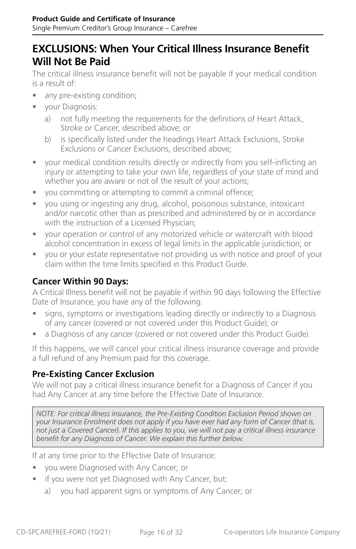#### **EXCLUSIONS: When Your Critical Illness Insurance Benefit Will Not Be Paid**

The critical illness insurance benefit will not be payable if your medical condition is a result of:

- any pre-existing condition;
- your Diagnosis:
	- a) not fully meeting the requirements for the definitions of Heart Attack, Stroke or Cancer, described above; or
	- b) is specifically listed under the headings Heart Attack Exclusions, Stroke Exclusions or Cancer Exclusions, described above;
- your medical condition results directly or indirectly from you self-inflicting an injury or attempting to take your own life, regardless of your state of mind and whether you are aware or not of the result of your actions;
- you committing or attempting to commit a criminal offence;
- you using or ingesting any drug, alcohol, poisonous substance, intoxicant and/or narcotic other than as prescribed and administered by or in accordance with the instruction of a Licensed Physician;
- your operation or control of any motorized vehicle or watercraft with blood alcohol concentration in excess of legal limits in the applicable jurisdiction; or
- you or your estate representative not providing us with notice and proof of your claim within the time limits specified in this Product Guide.

#### **Cancer Within 90 Days:**

A Critical Illness benefit will not be payable if within 90 days following the Effective Date of Insurance, you have any of the following:

- signs, symptoms or investigations leading directly or indirectly to a Diagnosis of any cancer (covered or not covered under this Product Guide); or
- a Diagnosis of any cancer (covered or not covered under this Product Guide).

If this happens, we will cancel your critical illness insurance coverage and provide a full refund of any Premium paid for this coverage.

#### **Pre-Existing Cancer Exclusion**

We will not pay a critical illness insurance benefit for a Diagnosis of Cancer if you had Any Cancer at any time before the Effective Date of Insurance.

*NOTE: For critical illness insurance, the Pre-Existing Condition Exclusion Period shown on your Insurance Enrolment does not apply if you have ever had any form of Cancer (that is, not just a Covered Cancer). If this applies to you, we will not pay a critical illness insurance benefit for any Diagnosis of Cancer. We explain this further below.*

If at any time prior to the Effective Date of Insurance:

- you were Diagnosed with Any Cancer; or
- if you were not yet Diagnosed with Any Cancer, but:
	- a) you had apparent signs or symptoms of Any Cancer; or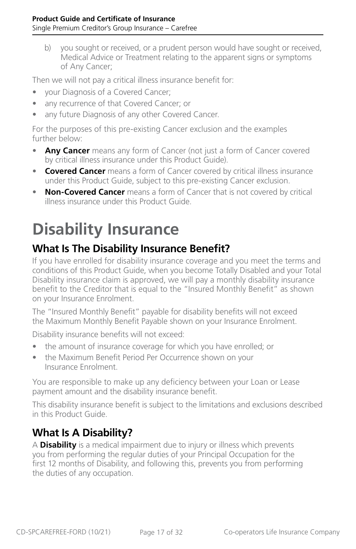<span id="page-16-0"></span>b) you sought or received, or a prudent person would have sought or received, Medical Advice or Treatment relating to the apparent signs or symptoms of Any Cancer;

Then we will not pay a critical illness insurance benefit for:

- your Diagnosis of a Covered Cancer;
- any recurrence of that Covered Cancer; or
- any future Diagnosis of any other Covered Cancer.

For the purposes of this pre-existing Cancer exclusion and the examples further below:

- Any Cancer means any form of Cancer (not just a form of Cancer covered by critical illness insurance under this Product Guide).
- **Covered Cancer** means a form of Cancer covered by critical illness insurance under this Product Guide, subject to this pre-existing Cancer exclusion.
- **Non-Covered Cancer** means a form of Cancer that is not covered by critical illness insurance under this Product Guide.

# **Disability Insurance**

## **What Is The Disability Insurance Benefit?**

If you have enrolled for disability insurance coverage and you meet the terms and conditions of this Product Guide, when you become Totally Disabled and your Total Disability insurance claim is approved, we will pay a monthly disability insurance benefit to the Creditor that is equal to the "Insured Monthly Benefit" as shown on your Insurance Enrolment.

The "Insured Monthly Benefit" payable for disability benefits will not exceed the Maximum Monthly Benefit Payable shown on your Insurance Enrolment.

Disability insurance benefits will not exceed:

- the amount of insurance coverage for which you have enrolled; or
- the Maximum Benefit Period Per Occurrence shown on your Insurance Enrolment.

You are responsible to make up any deficiency between your Loan or Lease payment amount and the disability insurance benefit.

This disability insurance benefit is subject to the limitations and exclusions described in this Product Guide.

## **What Is A Disability?**

A **Disability** is a medical impairment due to injury or illness which prevents you from performing the regular duties of your Principal Occupation for the first 12 months of Disability, and following this, prevents you from performing the duties of any occupation.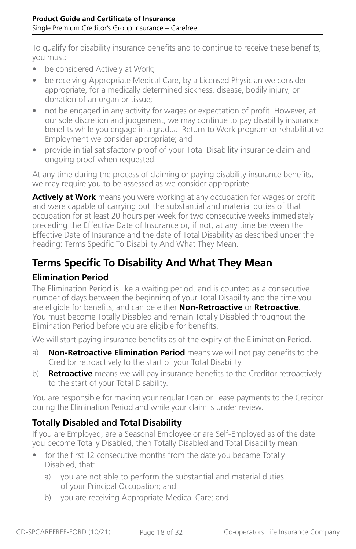To qualify for disability insurance benefits and to continue to receive these benefits, you must:

- be considered Actively at Work;
- be receiving Appropriate Medical Care, by a Licensed Physician we consider appropriate, for a medically determined sickness, disease, bodily injury, or donation of an organ or tissue;
- not be engaged in any activity for wages or expectation of profit. However, at our sole discretion and judgement, we may continue to pay disability insurance benefits while you engage in a gradual Return to Work program or rehabilitative Employment we consider appropriate; and
- provide initial satisfactory proof of your Total Disability insurance claim and ongoing proof when requested.

At any time during the process of claiming or paying disability insurance benefits, we may require you to be assessed as we consider appropriate.

**Actively at Work** means you were working at any occupation for wages or profit and were capable of carrying out the substantial and material duties of that occupation for at least 20 hours per week for two consecutive weeks immediately preceding the Effective Date of Insurance or, if not, at any time between the Effective Date of Insurance and the date of Total Disability as described under the heading: Terms Specific To Disability And What They Mean.

## **Terms Specific To Disability And What They Mean**

#### **Elimination Period**

The Elimination Period is like a waiting period, and is counted as a consecutive number of days between the beginning of your Total Disability and the time you are eligible for benefits; and can be either **Non-Retroactive** or **Retroactive**. You must become Totally Disabled and remain Totally Disabled throughout the Elimination Period before you are eligible for benefits.

We will start paying insurance benefits as of the expiry of the Elimination Period.

- a) **Non-Retroactive Elimination Period** means we will not pay benefits to the Creditor retroactively to the start of your Total Disability.
- b) **Retroactive** means we will pay insurance benefits to the Creditor retroactively to the start of your Total Disability.

You are responsible for making your regular Loan or Lease payments to the Creditor during the Elimination Period and while your claim is under review.

#### **Totally Disabled** and **Total Disability**

If you are Employed, are a Seasonal Employee or are Self-Employed as of the date you become Totally Disabled, then Totally Disabled and Total Disability mean:

- for the first 12 consecutive months from the date you became Totally Disabled, that:
	- a) you are not able to perform the substantial and material duties of your Principal Occupation; and
	- b) you are receiving Appropriate Medical Care; and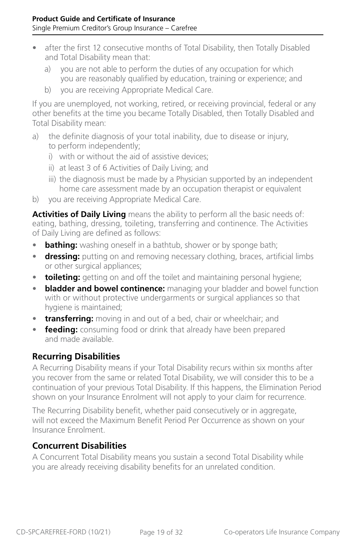- after the first 12 consecutive months of Total Disability, then Totally Disabled and Total Disability mean that:
	- a) you are not able to perform the duties of any occupation for which you are reasonably qualified by education, training or experience; and
	- b) you are receiving Appropriate Medical Care.

If you are unemployed, not working, retired, or receiving provincial, federal or any other benefits at the time you became Totally Disabled, then Totally Disabled and Total Disability mean:

- a) the definite diagnosis of your total inability, due to disease or injury, to perform independently;
	- i) with or without the aid of assistive devices;
	- ii) at least 3 of 6 Activities of Daily Living; and
	- iii) the diagnosis must be made by a Physician supported by an independent home care assessment made by an occupation therapist or equivalent
- b) you are receiving Appropriate Medical Care.

**Activities of Daily Living** means the ability to perform all the basic needs of: eating, bathing, dressing, toileting, transferring and continence. The Activities of Daily Living are defined as follows:

- **bathing:** washing oneself in a bathtub, shower or by sponge bath;
- **dressing:** putting on and removing necessary clothing, braces, artificial limbs or other surgical appliances;
- **toileting:** getting on and off the toilet and maintaining personal hygiene;
- **bladder and bowel continence:** managing your bladder and bowel function with or without protective undergarments or surgical appliances so that hygiene is maintained;
- **transferring:** moving in and out of a bed, chair or wheelchair; and
- **feeding:** consuming food or drink that already have been prepared and made available.

#### **Recurring Disabilities**

A Recurring Disability means if your Total Disability recurs within six months after you recover from the same or related Total Disability, we will consider this to be a continuation of your previous Total Disability. If this happens, the Elimination Period shown on your Insurance Enrolment will not apply to your claim for recurrence.

The Recurring Disability benefit, whether paid consecutively or in aggregate, will not exceed the Maximum Benefit Period Per Occurrence as shown on your Insurance Enrolment.

#### **Concurrent Disabilities**

A Concurrent Total Disability means you sustain a second Total Disability while you are already receiving disability benefits for an unrelated condition.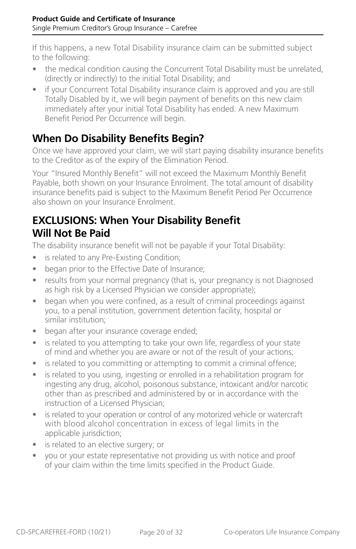<span id="page-19-0"></span>If this happens, a new Total Disability insurance claim can be submitted subject to the following:

- the medical condition causing the Concurrent Total Disability must be unrelated, (directly or indirectly) to the initial Total Disability; and
- if your Concurrent Total Disability insurance claim is approved and you are still Totally Disabled by it, we will begin payment of benefits on this new claim immediately after your initial Total Disability has ended. A new Maximum Benefit Period Per Occurrence will begin.

## **When Do Disability Benefits Begin?**

Once we have approved your claim, we will start paying disability insurance benefits to the Creditor as of the expiry of the Elimination Period.

Your "Insured Monthly Benefit" will not exceed the Maximum Monthly Benefit Payable, both shown on your Insurance Enrolment. The total amount of disability insurance benefits paid is subject to the Maximum Benefit Period Per Occurrence also shown on your Insurance Enrolment.

### **EXCLUSIONS: When Your Disability Benefit Will Not Be Paid**

The disability insurance benefit will not be payable if your Total Disability:

- is related to any Pre-Existing Condition;
- began prior to the Effective Date of Insurance;
- results from your normal pregnancy (that is, your pregnancy is not Diagnosed as high risk by a Licensed Physician we consider appropriate);
- began when you were confined, as a result of criminal proceedings against you, to a penal institution, government detention facility, hospital or similar institution;
- began after your insurance coverage ended;
- is related to you attempting to take your own life, regardless of your state of mind and whether you are aware or not of the result of your actions;
- is related to you committing or attempting to commit a criminal offence;
- is related to you using, ingesting or enrolled in a rehabilitation program for ingesting any drug, alcohol, poisonous substance, intoxicant and/or narcotic other than as prescribed and administered by or in accordance with the instruction of a Licensed Physician;
- is related to your operation or control of any motorized vehicle or watercraft with blood alcohol concentration in excess of legal limits in the applicable jurisdiction;
- is related to an elective surgery; or
- you or your estate representative not providing us with notice and proof of your claim within the time limits specified in the Product Guide.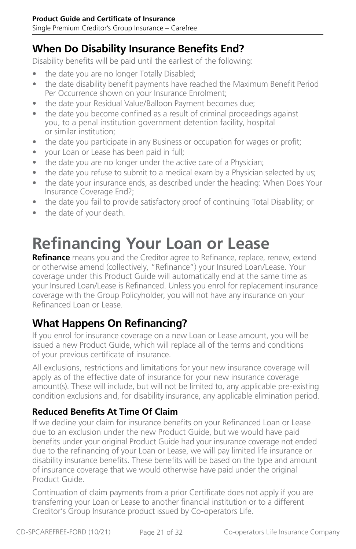### <span id="page-20-0"></span>**When Do Disability Insurance Benefits End?**

Disability benefits will be paid until the earliest of the following:

- the date you are no longer Totally Disabled;
- the date disability benefit payments have reached the Maximum Benefit Period Per Occurrence shown on your Insurance Enrolment;
- the date your Residual Value/Balloon Payment becomes due;
- the date you become confined as a result of criminal proceedings against you, to a penal institution government detention facility, hospital or similar institution;
- the date you participate in any Business or occupation for wages or profit;
- your Loan or Lease has been paid in full;
- the date you are no longer under the active care of a Physician;
- the date you refuse to submit to a medical exam by a Physician selected by us;
- the date your insurance ends, as described under the heading: When Does Your Insurance Coverage End?;
- the date you fail to provide satisfactory proof of continuing Total Disability; or
- the date of your death.

## **Refinancing Your Loan or Lease**

**Refinance** means you and the Creditor agree to Refinance, replace, renew, extend or otherwise amend (collectively, "Refinance") your Insured Loan/Lease. Your coverage under this Product Guide will automatically end at the same time as your Insured Loan/Lease is Refinanced. Unless you enrol for replacement insurance coverage with the Group Policyholder, you will not have any insurance on your Refinanced Loan or Lease.

### **What Happens On Refinancing?**

If you enrol for insurance coverage on a new Loan or Lease amount, you will be issued a new Product Guide, which will replace all of the terms and conditions of your previous certificate of insurance.

All exclusions, restrictions and limitations for your new insurance coverage will apply as of the effective date of insurance for your new insurance coverage amount(s). These will include, but will not be limited to, any applicable pre-existing condition exclusions and, for disability insurance, any applicable elimination period.

#### **Reduced Benefits At Time Of Claim**

If we decline your claim for insurance benefits on your Refinanced Loan or Lease due to an exclusion under the new Product Guide, but we would have paid benefits under your original Product Guide had your insurance coverage not ended due to the refinancing of your Loan or Lease, we will pay limited life insurance or disability insurance benefits. These benefits will be based on the type and amount of insurance coverage that we would otherwise have paid under the original Product Guide.

Continuation of claim payments from a prior Certificate does not apply if you are transferring your Loan or Lease to another financial institution or to a different Creditor's Group Insurance product issued by Co-operators Life.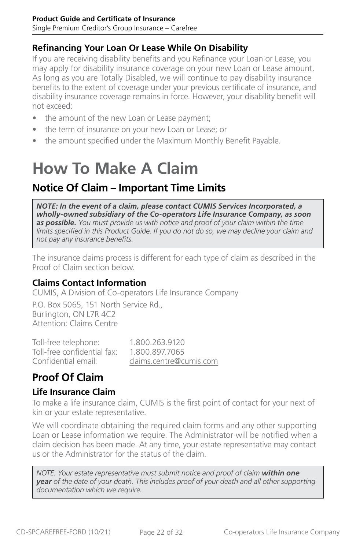#### <span id="page-21-0"></span>**Refinancing Your Loan Or Lease While On Disability**

If you are receiving disability benefits and you Refinance your Loan or Lease, you may apply for disability insurance coverage on your new Loan or Lease amount. As long as you are Totally Disabled, we will continue to pay disability insurance benefits to the extent of coverage under your previous certificate of insurance, and disability insurance coverage remains in force. However, your disability benefit will not exceed:

- the amount of the new Loan or Lease payment;
- the term of insurance on your new Loan or Lease; or
- the amount specified under the Maximum Monthly Benefit Payable.

# **How To Make A Claim**

### **Notice Of Claim – Important Time Limits**

*NOTE: In the event of a claim, please contact CUMIS Services Incorporated, a wholly-owned subsidiary of the Co-operators Life Insurance Company, as soon as possible. You must provide us with notice and proof of your claim within the time limits specified in this Product Guide. If you do not do so, we may decline your claim and not pay any insurance benefits.*

The insurance claims process is different for each type of claim as described in the Proof of Claim section below.

#### **Claims Contact Information**

CUMIS, A Division of Co-operators Life Insurance Company

P.O. Box 5065, 151 North Service Rd., Burlington, ON L7R 4C2 Attention: Claims Centre

Toll-free telephone: 1.800.263.9120 Toll-free confidential fax: 1.800.897.7065 Confidential email: [claims.centre@cumis.com](mailto:claims.centre%40cumis.com?subject=)

## **Proof Of Claim**

#### **Life Insurance Claim**

To make a life insurance claim, CUMIS is the first point of contact for your next of kin or your estate representative.

We will coordinate obtaining the required claim forms and any other supporting Loan or Lease information we require. The Administrator will be notified when a claim decision has been made. At any time, your estate representative may contact us or the Administrator for the status of the claim.

*NOTE: Your estate representative must submit notice and proof of claim within one year of the date of your death. This includes proof of your death and all other supporting documentation which we require.*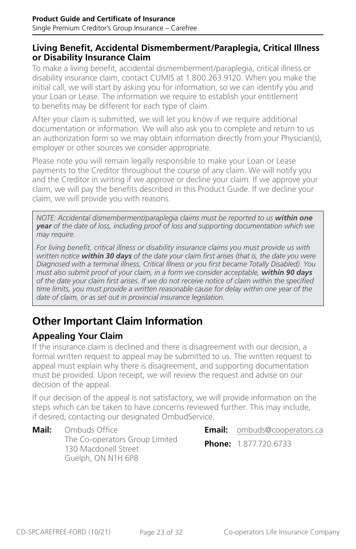#### <span id="page-22-0"></span>**Living Benefit, Accidental Dismemberment/Paraplegia, Critical Illness or Disability Insurance Claim**

To make a living benefit, accidental dismemberment/paraplegia, critical illness or disability insurance claim, contact CUMIS at 1.800.263.9120. When you make the initial call, we will start by asking you for information, so we can identify you and your Loan or Lease. The information we require to establish your entitlement to benefits may be different for each type of claim.

After your claim is submitted, we will let you know if we require additional documentation or information. We will also ask you to complete and return to us an authorization form so we may obtain information directly from your Physician(s), employer or other sources we consider appropriate.

Please note you will remain legally responsible to make your Loan or Lease payments to the Creditor throughout the course of any claim. We will notify you and the Creditor in writing if we approve or decline your claim. If we approve your claim, we will pay the benefits described in this Product Guide. If we decline your claim, we will provide you with reasons.

*NOTE: Accidental dismemberment/paraplegia claims must be reported to us within one year of the date of loss, including proof of loss and supporting documentation which we may require.*

*For living benefit, critical illness or disability insurance claims you must provide us with written notice within 30 days of the date your claim first arises (that is, the date you were Diagnosed with a terminal illness, Critical Illness or you first became Totally Disabled). You must also submit proof of your claim, in a form we consider acceptable, within 90 days of the date your claim first arises. If we do not receive notice of claim within the specified time limits, you must provide a written reasonable cause for delay within one year of the date of claim, or as set out in provincial insurance legislation.*

## **Other Important Claim Information**

#### **Appealing Your Claim**

If the insurance claim is declined and there is disagreement with our decision, a formal written request to appeal may be submitted to us. The written request to appeal must explain why there is disagreement, and supporting documentation must be provided. Upon receipt, we will review the request and advise on our decision of the appeal.

If our decision of the appeal is not satisfactory, we will provide information on the steps which can be taken to have concerns reviewed further. This may include, if desired, contacting our designated OmbudService.

**Mail:** Ombuds Office The Co-operators Group Limited 130 Macdonell Street Guelph, ON N1H 6P8

**Email:** [ombuds@cooperators.ca](mailto:ombuds%40cooperators.ca?subject=) **Phone:** 1.877.720.6733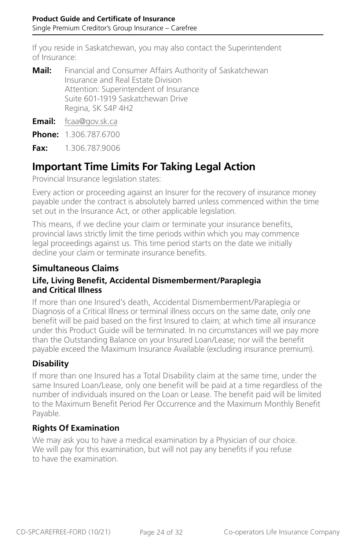<span id="page-23-0"></span>If you reside in Saskatchewan, you may also contact the Superintendent of Insurance:

| Mail: | Financial and Consumer Affairs Authority of Saskatchewan |
|-------|----------------------------------------------------------|
|       | Insurance and Real Estate Division                       |
|       | Attention: Superintendent of Insurance                   |
|       | Suite 601-1919 Saskatchewan Drive                        |
|       | Regina, SK S4P 4H2                                       |

**Email:** [fcaa@gov.sk.ca](mailto:fcaa%40gov.sk.ca?subject=)

**Phone:** 1.306.787.6700

**Fax:** 1.306.787.9006

#### **Important Time Limits For Taking Legal Action**

Provincial Insurance legislation states:

Every action or proceeding against an Insurer for the recovery of insurance money payable under the contract is absolutely barred unless commenced within the time set out in the Insurance Act, or other applicable legislation.

This means, if we decline your claim or terminate your insurance benefits, provincial laws strictly limit the time periods within which you may commence legal proceedings against us. This time period starts on the date we initially decline your claim or terminate insurance benefits.

#### **Simultaneous Claims**

#### **Life, Living Benefit, Accidental Dismemberment/Paraplegia and Critical Illness**

If more than one Insured's death, Accidental Dismemberment/Paraplegia or Diagnosis of a Critical Illness or terminal illness occurs on the same date, only one benefit will be paid based on the first Insured to claim; at which time all insurance under this Product Guide will be terminated. In no circumstances will we pay more than the Outstanding Balance on your Insured Loan/Lease; nor will the benefit payable exceed the Maximum Insurance Available (excluding insurance premium).

#### **Disability**

If more than one Insured has a Total Disability claim at the same time, under the same Insured Loan/Lease, only one benefit will be paid at a time regardless of the number of individuals insured on the Loan or Lease. The benefit paid will be limited to the Maximum Benefit Period Per Occurrence and the Maximum Monthly Benefit Payable.

#### **Rights Of Examination**

We may ask you to have a medical examination by a Physician of our choice. We will pay for this examination, but will not pay any benefits if you refuse to have the examination.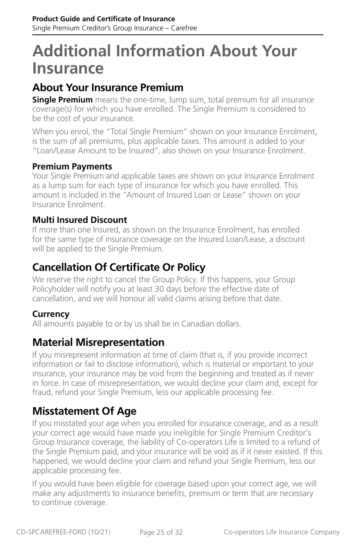## <span id="page-24-0"></span>**Additional Information About Your Insurance**

## **About Your Insurance Premium**

**Single Premium** means the one-time, lump sum, total premium for all insurance coverage(s) for which you have enrolled. The Single Premium is considered to be the cost of your insurance.

When you enrol, the "Total Single Premium" shown on your Insurance Enrolment, is the sum of all premiums, plus applicable taxes. This amount is added to your "Loan/Lease Amount to be Insured", also shown on your Insurance Enrolment.

#### **Premium Payments**

Your Single Premium and applicable taxes are shown on your Insurance Enrolment as a lump sum for each type of insurance for which you have enrolled. This amount is included in the "Amount of Insured Loan or Lease" shown on your Insurance Enrolment.

#### **Multi Insured Discount**

If more than one Insured, as shown on the Insurance Enrolment, has enrolled for the same type of insurance coverage on the Insured Loan/Lease, a discount will be applied to the Single Premium.

#### **Cancellation Of Certificate Or Policy**

We reserve the right to cancel the Group Policy. If this happens, your Group Policyholder will notify you at least 30 days before the effective date of cancellation, and we will honour all valid claims arising before that date.

#### **Currency**

All amounts payable to or by us shall be in Canadian dollars.

#### **Material Misrepresentation**

If you misrepresent information at time of claim (that is, if you provide incorrect information or fail to disclose information), which is material or important to your insurance, your insurance may be void from the beginning and treated as if never in force. In case of misrepresentation, we would decline your claim and, except for fraud, refund your Single Premium, less our applicable processing fee.

### **Misstatement Of Age**

If you misstated your age when you enrolled for insurance coverage, and as a result your correct age would have made you ineligible for Single Premium Creditor's Group Insurance coverage, the liability of Co-operators Life is limited to a refund of the Single Premium paid, and your insurance will be void as if it never existed. If this happened, we would decline your claim and refund your Single Premium, less our applicable processing fee.

If you would have been eligible for coverage based upon your correct age, we will make any adjustments to insurance benefits, premium or term that are necessary to continue coverage.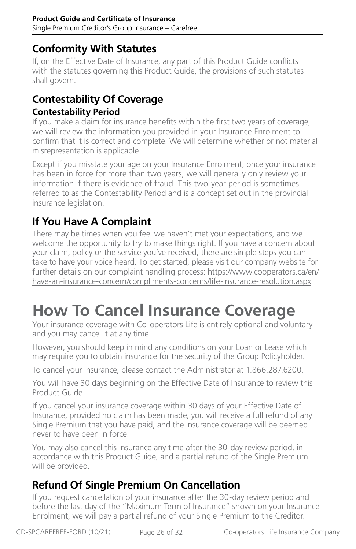### <span id="page-25-0"></span>**Conformity With Statutes**

If, on the Effective Date of Insurance, any part of this Product Guide conflicts with the statutes governing this Product Guide, the provisions of such statutes shall govern.

## **Contestability Of Coverage**

#### **Contestability Period**

If you make a claim for insurance benefits within the first two years of coverage, we will review the information you provided in your Insurance Enrolment to confirm that it is correct and complete. We will determine whether or not material misrepresentation is applicable.

Except if you misstate your age on your Insurance Enrolment, once your insurance has been in force for more than two years, we will generally only review your information if there is evidence of fraud. This two-year period is sometimes referred to as the Contestability Period and is a concept set out in the provincial insurance legislation.

## **If You Have A Complaint**

There may be times when you feel we haven't met your expectations, and we welcome the opportunity to try to make things right. If you have a concern about your claim, policy or the service you've received, there are simple steps you can take to have your voice heard. To get started, please visit our company website for further details on our complaint handling process: [https://www.cooperators.ca/en/](https://www.cooperators.ca/en/have-an-insurance-concern/compliments-concerns/life-insurance-resolution.aspx) [have-an-insurance-concern/compliments-concerns/life-insurance-resolution.aspx](https://www.cooperators.ca/en/have-an-insurance-concern/compliments-concerns/life-insurance-resolution.aspx)

## **How To Cancel Insurance Coverage**

Your insurance coverage with Co-operators Life is entirely optional and voluntary and you may cancel it at any time.

However, you should keep in mind any conditions on your Loan or Lease which may require you to obtain insurance for the security of the Group Policyholder.

To cancel your insurance, please contact the Administrator at 1.866.287.6200.

You will have 30 days beginning on the Effective Date of Insurance to review this Product Guide.

If you cancel your insurance coverage within 30 days of your Effective Date of Insurance, provided no claim has been made, you will receive a full refund of any Single Premium that you have paid, and the insurance coverage will be deemed never to have been in force.

You may also cancel this insurance any time after the 30-day review period, in accordance with this Product Guide, and a partial refund of the Single Premium will be provided.

## **Refund Of Single Premium On Cancellation**

If you request cancellation of your insurance after the 30-day review period and before the last day of the "Maximum Term of Insurance" shown on your Insurance Enrolment, we will pay a partial refund of your Single Premium to the Creditor.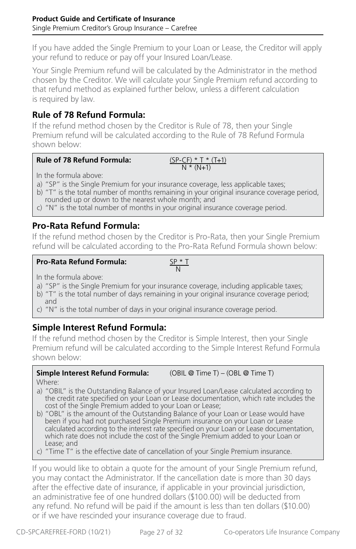If you have added the Single Premium to your Loan or Lease, the Creditor will apply your refund to reduce or pay off your Insured Loan/Lease.

Your Single Premium refund will be calculated by the Administrator in the method chosen by the Creditor. We will calculate your Single Premium refund according to that refund method as explained further below, unless a different calculation is required by law.

#### **Rule of 78 Refund Formula:**

If the refund method chosen by the Creditor is Rule of 78, then your Single Premium refund will be calculated according to the Rule of 78 Refund Formula shown below:

#### **Rule of 78 Refund Formula:**

$$
\frac{(SP-CF) * T * (T+1)}{N * (N+1)}
$$

In the formula above:

- a) "SP" is the Single Premium for your insurance coverage, less applicable taxes;
- b) "T" is the total number of months remaining in your original insurance coverage period, rounded up or down to the nearest whole month; and
- c) "N" is the total number of months in your original insurance coverage period.

#### **Pro-Rata Refund Formula:**

If the refund method chosen by the Creditor is Pro-Rata, then your Single Premium refund will be calculated according to the Pro-Rata Refund Formula shown below:

#### **Pro-Rata Refund Formula:**

$$
\frac{\mathsf{SP} \cdot \mathsf{T}}{\mathsf{N}}
$$

In the formula above:

- a) "SP" is the Single Premium for your insurance coverage, including applicable taxes;
- b) "T" is the total number of days remaining in your original insurance coverage period; and
- c) "N" is the total number of days in your original insurance coverage period.

#### **Simple Interest Refund Formula:**

If the refund method chosen by the Creditor is Simple Interest, then your Single Premium refund will be calculated according to the Simple Interest Refund Formula shown below:

### **Simple Interest Refund Formula:** (OBIL @ Time T) – (OBL @ Time T)

Where:

- a) "OBIL" is the Outstanding Balance of your Insured Loan/Lease calculated according to the credit rate specified on your Loan or Lease documentation, which rate includes the cost of the Single Premium added to your Loan or Lease;
- b) "OBL" is the amount of the Outstanding Balance of your Loan or Lease would have been if you had not purchased Single Premium insurance on your Loan or Lease calculated according to the interest rate specified on your Loan or Lease documentation, which rate does not include the cost of the Single Premium added to your Loan or Lease; and
- c) "Time T" is the effective date of cancellation of your Single Premium insurance.

If you would like to obtain a quote for the amount of your Single Premium refund, you may contact the Administrator. If the cancellation date is more than 30 days after the effective date of insurance, if applicable in your provincial jurisdiction, an administrative fee of one hundred dollars (\$100.00) will be deducted from any refund. No refund will be paid if the amount is less than ten dollars (\$10.00) or if we have rescinded your insurance coverage due to fraud.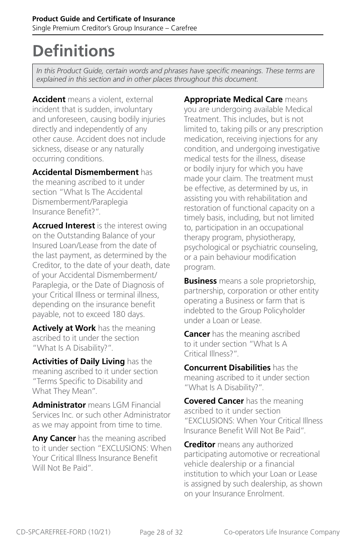## <span id="page-27-0"></span>**Definitions**

*In this Product Guide, certain words and phrases have specific meanings. These terms are explained in this section and in other places throughout this document.* 

**Accident** means a violent, external incident that is sudden, involuntary and unforeseen, causing bodily injuries directly and independently of any other cause. Accident does not include sickness, disease or any naturally occurring conditions.

**Accidental Dismemberment** has the meaning ascribed to it under section "What Is The Accidental Dismemberment/Paraplegia Insurance Benefit?".

**Accrued Interest** is the interest owing on the Outstanding Balance of your Insured Loan/Lease from the date of the last payment, as determined by the Creditor, to the date of your death, date of your Accidental Dismemberment/ Paraplegia, or the Date of Diagnosis of your Critical Illness or terminal illness, depending on the insurance benefit payable, not to exceed 180 days.

**Actively at Work** has the meaning ascribed to it under the section "What Is A Disability?".

**Activities of Daily Living** has the meaning ascribed to it under section "Terms Specific to Disability and What They Mean".

**Administrator** means LGM Financial Services Inc. or such other Administrator as we may appoint from time to time.

**Any Cancer** has the meaning ascribed to it under section "EXCLUSIONS: When Your Critical Illness Insurance Benefit Will Not Be Paid".

**Appropriate Medical Care** means you are undergoing available Medical Treatment. This includes, but is not limited to, taking pills or any prescription medication, receiving injections for any condition, and undergoing investigative medical tests for the illness, disease or bodily injury for which you have made your claim. The treatment must be effective, as determined by us, in assisting you with rehabilitation and restoration of functional capacity on a timely basis, including, but not limited to, participation in an occupational therapy program, physiotherapy, psychological or psychiatric counseling, or a pain behaviour modification program.

**Business** means a sole proprietorship, partnership, corporation or other entity operating a Business or farm that is indebted to the Group Policyholder under a Loan or Lease.

**Cancer** has the meaning ascribed to it under section "What Is A Critical Illness?".

**Concurrent Disabilities** has the meaning ascribed to it under section "What Is A Disability?".

**Covered Cancer** has the meaning ascribed to it under section "EXCLUSIONS: When Your Critical Illness Insurance Benefit Will Not Be Paid".

**Creditor** means any authorized participating automotive or recreational vehicle dealership or a financial institution to which your Loan or Lease is assigned by such dealership, as shown on your Insurance Enrolment.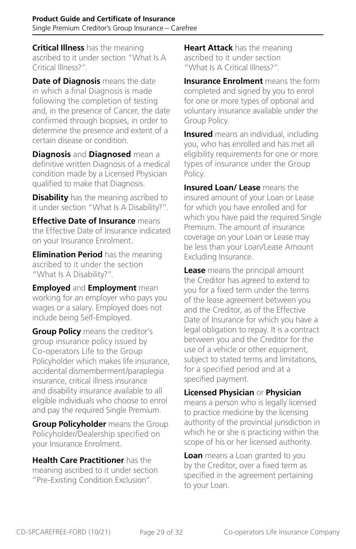**Critical Illness** has the meaning ascribed to it under section "What Is A Critical Illness?".

**Date of Diagnosis** means the date in which a final Diagnosis is made following the completion of testing and, in the presence of Cancer, the date confirmed through biopsies, in order to determine the presence and extent of a certain disease or condition.

**Diagnosis** and **Diagnosed** mean a definitive written Diagnosis of a medical condition made by a Licensed Physician qualified to make that Diagnosis.

**Disability** has the meaning ascribed to it under section "What Is A Disability?".

**Effective Date of Insurance** means the Effective Date of Insurance indicated on your Insurance Enrolment.

**Elimination Period** has the meaning ascribed to it under the section "What Is A Disability?".

**Employed** and **Employment** mean working for an employer who pays you wages or a salary. Employed does not include being Self-Employed.

**Group Policy** means the creditor's group insurance policy issued by Co-operators Life to the Group Policyholder which makes life insurance, accidental dismemberment/paraplegia insurance, critical illness insurance and disability insurance available to all eligible individuals who choose to enrol and pay the required Single Premium.

**Group Policyholder** means the Group Policyholder/Dealership specified on your Insurance Enrolment.

**Health Care Practitioner** has the meaning ascribed to it under section "Pre-Existing Condition Exclusion".

**Heart Attack** has the meaning ascribed to it under section "What Is A Critical Illness?".

**Insurance Enrolment** means the form completed and signed by you to enrol for one or more types of optional and voluntary insurance available under the Group Policy.

**Insured** means an individual, including you, who has enrolled and has met all eligibility requirements for one or more types of insurance under the Group Policy.

**Insured Loan/ Lease** means the insured amount of your Loan or Lease for which you have enrolled and for which you have paid the required Single Premium. The amount of insurance coverage on your Loan or Lease may be less than your Loan/Lease Amount Excluding Insurance.

**Lease** means the principal amount the Creditor has agreed to extend to you for a fixed term under the terms of the lease agreement between you and the Creditor, as of the Effective Date of Insurance for which you have a legal obligation to repay. It is a contract between you and the Creditor for the use of a vehicle or other equipment, subject to stated terms and limitations, for a specified period and at a specified payment.

#### **Licensed Physician** or **Physician**

means a person who is legally licensed to practice medicine by the licensing authority of the provincial jurisdiction in which he or she is practicing within the scope of his or her licensed authority.

**Loan** means a Loan granted to you by the Creditor, over a fixed term as specified in the agreement pertaining to your Loan.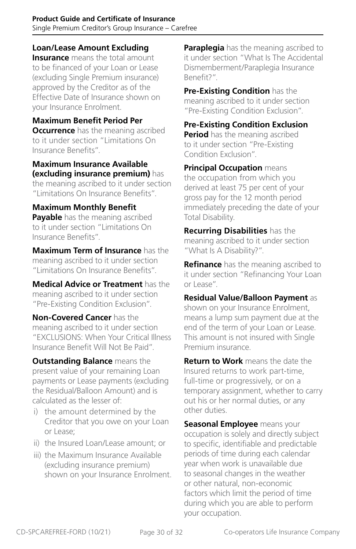**Loan/Lease Amount Excluding** 

**Insurance** means the total amount to be financed of your Loan or Lease (excluding Single Premium insurance) approved by the Creditor as of the Effective Date of Insurance shown on your Insurance Enrolment.

**Maximum Benefit Period Per Occurrence** has the meaning ascribed to it under section "Limitations On Insurance Benefits".

**Maximum Insurance Available (excluding insurance premium)** has the meaning ascribed to it under section "Limitations On Insurance Benefits".

**Maximum Monthly Benefit Payable** has the meaning ascribed to it under section "Limitations On Insurance Benefits".

**Maximum Term of Insurance** has the meaning ascribed to it under section "Limitations On Insurance Benefits".

**Medical Advice or Treatment** has the meaning ascribed to it under section "Pre-Existing Condition Exclusion".

**Non-Covered Cancer** has the meaning ascribed to it under section "EXCLUSIONS: When Your Critical Illness Insurance Benefit Will Not Be Paid".

**Outstanding Balance** means the present value of your remaining Loan payments or Lease payments (excluding the Residual/Balloon Amount) and is calculated as the lesser of:

- i) the amount determined by the Creditor that you owe on your Loan or Lease;
- ii) the Insured Loan/Lease amount; or
- iii) the Maximum Insurance Available (excluding insurance premium) shown on your Insurance Enrolment.

**Paraplegia** has the meaning ascribed to it under section "What Is The Accidental Dismemberment/Paraplegia Insurance Benefit?".

**Pre-Existing Condition** has the meaning ascribed to it under section "Pre-Existing Condition Exclusion".

**Pre-Existing Condition Exclusion Period** has the meaning ascribed to it under section "Pre-Existing Condition Exclusion".

**Principal Occupation** means the occupation from which you derived at least 75 per cent of your gross pay for the 12 month period immediately preceding the date of your Total Disability.

**Recurring Disabilities** has the meaning ascribed to it under section "What Is A Disability?".

**Refinance** has the meaning ascribed to it under section "Refinancing Your Loan or Lease".

**Residual Value/Balloon Payment** as shown on your Insurance Enrolment, means a lump sum payment due at the end of the term of your Loan or Lease. This amount is not insured with Single Premium insurance.

**Return to Work** means the date the Insured returns to work part-time, full-time or progressively, or on a temporary assignment, whether to carry out his or her normal duties, or any other duties.

**Seasonal Employee** means your occupation is solely and directly subject to specific, identifiable and predictable periods of time during each calendar year when work is unavailable due to seasonal changes in the weather or other natural, non-economic factors which limit the period of time during which you are able to perform your occupation.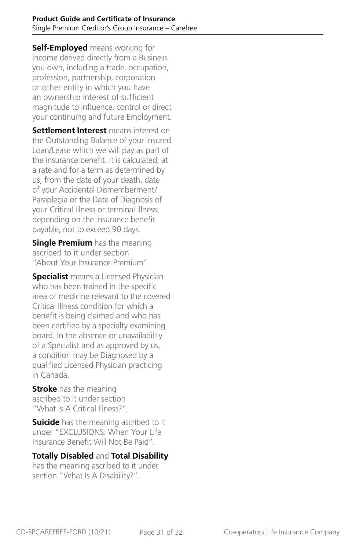**Self-Employed** means working for income derived directly from a Business you own, including a trade, occupation, profession, partnership, corporation or other entity in which you have an ownership interest of sufficient magnitude to influence, control or direct your continuing and future Employment.

**Settlement Interest** means interest on the Outstanding Balance of your Insured Loan/Lease which we will pay as part of the insurance benefit. It is calculated, at a rate and for a term as determined by us, from the date of your death, date of your Accidental Dismemberment/ Paraplegia or the Date of Diagnosis of your Critical Illness or terminal illness, depending on the insurance benefit payable, not to exceed 90 days.

**Single Premium** has the meaning ascribed to it under section "About Your Insurance Premium".

**Specialist** means a Licensed Physician who has been trained in the specific area of medicine relevant to the covered Critical Illness condition for which a benefit is being claimed and who has been certified by a specialty examining board. In the absence or unavailability of a Specialist and as approved by us, a condition may be Diagnosed by a qualified Licensed Physician practicing in Canada.

**Stroke** has the meaning ascribed to it under section "What Is A Critical Illness?".

**Suicide** has the meaning ascribed to it under "EXCLUSIONS: When Your Life Insurance Benefit Will Not Be Paid".

#### **Totally Disabled** and **Total Disability**

has the meaning ascribed to it under section "What Is A Disability?".